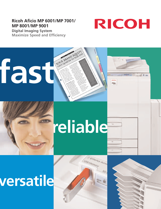# **Ricoh Aficio MP 6001/MP 7001/ MP 8001/MP 9001**



Aficio

**Digital Imaging System Maximize Speed and Efficiency**

**fast of the BRAND FOUTN'S AND FAST OF THE BRAND FOUTN'S** 

# **reliable**

**Device Acces** 

# **versatile**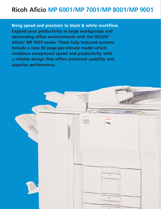# **Ricoh Aficio MP 6001/MP 7001/MP 8001/MP 9001**

**Bring speed and precision to black & white workflow. Expand your productivity in large workgroups and demanding office environments with the RICOH® Aficio® MP 9001 series. These fully featured systems include a new 90 page-per-minute model which combines exceptional speed and productivity with a reliable design that offers enhanced usability and superior performance.**

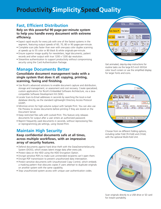# **ProductivitySimplicitySpeedQuality**

# **Fast, Efficient Distribution**

### **Rely on this powerful 90 page-per-minute system to help you handle every document with extreme efficiency.**

- Expect rapid results for every job with one of the fastest systems in the segment, featuring output speeds of 60, 70, 80 or 90 pages-per-minute.
- Complete scan jobs faster than ever with one-pass color duplex scanning at speeds up to 55 color or 80 black & white originals-per-minute.
- Ensure superior image quality for newsletters, legal documents, patient records and other output with true 1200 x 1200 dpi resolution.
- Streamline authentication to support productivity without compromising security using the Card Authentication Package.

# **Manage Documents Better**

## **Consolidate document management tasks with a single system that does it all: copying, printing, scanning, faxing and finishing.**

- Use Ricoh's advanced solutions to enable document capture and distribution, storage and management, or assessment and cost recovery. Create specialized, custom applications for Ricoh's Embedded Software Architecture, via a Javacompatible Software Development Kit (SDK).
- Locate Scan-to-Email addresses in seconds by searching the local e-mail database directly, via the standard Lightweight Directory Access Protocol  $(1DAP)$
- Minimize errors for high-volume output with Sample Print. You can also use File Preview to review documents before printing if they are stored on the Document Server.
- Keep restricted files safe with Locked Print. This feature only releases documents for output after a user enters an authorized password.
- Reprint frequently used documents in seconds, without reprocessing files or reprogramming job settings, using Stored Print.

# **Maintain High Security**

## **Keep confidential documents safe at all times, across multiple workflows, with an impressive array of security features.**

- Defend documents against hard drive theft with the DataOverwriteSecurity System (DOSS), which erases latent image data after every job.
- Protect data on the HDD using the HDD Encryption Option.
- Encrypt sensitive PDFs to make sure unintended recipients can't open them.
- Encrypt PDF transmission to prevent unauthorized data interception.
- Protect sensitive documents with Unauthorized Copy Control, which embeds a masking pattern that obscures copies if users attempt to duplicate originals on another system with the same capability.
- Stop unauthorized system access with unique user authentication codes.



Get animated, step-by-step instructions for routine tasks via the large 8.5-inch WVGA color touch screen or use the simplified display for larger fonts and icons.



Choose from six different folding options, including Letter Fold (Tri-Fold) and Z-Fold, with the optional Multi-Fold Unit.



Scan originals directly to a USB drive or SD card for instant portability.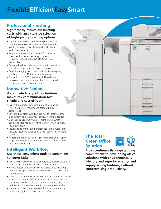# **FlexibleEfficientEasySmart**

# **Professional Finishing**

### **Significantly reduce outsourcing costs with an extensive selection of high-quality finishing options.**

- Create an incredible variety of finished materials with the Multi-Fold Unit, which offers Half-Fold, Z-Fold, Gate-Fold, Double Parallel Fold in-line and other patterns.
- Produce saddle-stitched booklets for students, clients and other audiences quickly and cost-effectively with the BK5010 Production Booklet Maker.
- Energize black & white documents with pre-printed, full-color covers using the Cover Interposer.
- Organize lengthy documents that require heavy-duty stapling with the 100-Sheet stapling finisher.
- Depend on the GBC StreamPunch III to deliver precision-punched documents that are prepared for a wide range of binding options.

# **Innovative Faxing**

## **A complete lineup of fax features makes fax communication fast, simple and cost-efficient.**

- Expect high productivity with up to three analog lines, a Super 3G modem and standard JBIG compression.
- Save multiple steps with LAN Faxing, this lets you send a document to a fax number directly from the desktop.
- Cut costs considerably with IP Faxing (T.38), which sends and receives faxes over the LAN or WAN virtually instantaneously.
- Prevent faxes from sitting unattended in the output tray. Forward incoming faxes to an e-mail address or network folder.
- Reduce the risk of fax errors. These systems detect blank pages and enable users to double-check fax destinations prior to transmission.

# **Intelligent Workflow**

## **Use these convenient tools to streamline common tasks.**

- Print e-mail attachments (JPEG or PDF) automatically by sending them to the system via the Mail-to-Print feature.
- Associate jobs with specific clients, users or other billing numbers for appropriate chargeback with the Classification Code feature.
- Utilize the system to seamlessly scan your documents directly to Ricoh DocumentMall. A "Software as a Service" (SaaS), DocumentMall allows you to store and manage documents and files from anywhere there is an Internet connection.
- Create automatic, one-step workflows for frequent scan tasks using optional GlobalScan NX software.



# **The Total Green Office Solution**



**Ricoh continues its long-standing commitment to developing office solutions with environmentally friendly and superior energy- and supply-saving features, without compromising productivity.**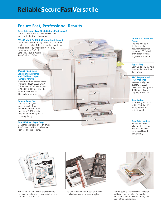# **ReliableSecureFastVersatile**

# **Ensure Fast, Professional Results**

**Cover Interposer Type 3260 (Optional/not shown)** Add full-color or black & white covers and insert sheets with the Cover Interposer.

#### **FD5000 Multi-Fold Unit (Optional/not shown)**

Accommodate virtually any folding need with the flexible in-line Multi-Fold Unit. Available patterns include: Half-Fold, Letter Fold-in (Tri-Fold), Letter Fold-out (Tri-Fold), Gate-Fold, Double Parallel (Four-Fold) and Z-Fold.

#### **SR4040 2,000-Sheet Saddle-Stitch Finisher with 50-Sheet Stapler (Optional/shown)**

Also choose from two separate Finishers; SR4050 3,000-Sheet Finisher with 100-Sheet Stapler or SR4030 3,000-Sheet Finisher with 50-Sheet Stapler (Optional/not shown).

#### **Tandem Paper Tray**

This tray holds 1,550 sheets in each of two compartments for a total capacity of 3,100 sheets. Load paper on the fly while copying/printing.

#### **Two 550-Sheet Paper Trays**

Standard paper capacity is an ample 4,300 sheets, which includes dual front-loading paper trays.

#### **Automatic Document Feeder**

The one-pass color duplex scanning document feeder can scan up to 55 full-color or 80 black & white originals-per-minute.

#### **Bypass Tray**

Copy up to 110 lb. Index through the 100-Sheet Bypass Tray.

#### **RT43 Large Capacity Tray (Optional)**

Increase total paper capacity to 8,300 sheets with the optional 4,000-Sheet Large Capacity Tray (LCT).

#### **Base System**

Start with your choice of 60, 70, 80 or 90 pages-per-minute output speed.

#### **Easy Grip Handles**

Easy grip handles on all paper trays allow any user to reload paper quickly and conveniently.



The Ricoh MP 9001 series enables you to produce more finished documents in-house and reduce outsourcing costs.



The GBC StreamPunch III delivers cleanly punched documents in several styles.



Use the Saddle-Stitch Finisher to create saddle-stitched booklets for handouts, educational and training materials, and many other applications.